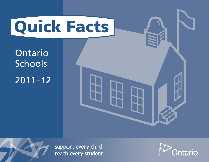

Ontario **Schools** 2011–12



support every child reach every student

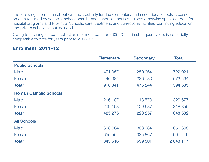The following information about Ontario's publicly funded elementary and secondary schools is based on data reported by schools, school boards, and school authorities. Unless otherwise specified, data for hospital programs and Provincial Schools; care, treatment, and correctional facilities; continuing education; and private schools is not included.

Owing to a change in data collection methods, data for 2006–07 and subsequent years is not strictly comparable to data for years prior to 2006–07.

| <b>Elementary</b> | <b>Secondary</b> | <b>Total</b>  |
|-------------------|------------------|---------------|
|                   |                  |               |
| 471 957           | 250 064          | 722 021       |
| 446 384           | 226 180          | 672 564       |
| 918 341           | 476 244          | 1 394 585     |
|                   |                  |               |
| 216 107           | 113 570          | 329 677       |
| 209 168           | 109 687          | 318 855       |
| 425 275           | 223 257          | 648 532       |
|                   |                  |               |
| 688 064           | 363 634          | 1 0 5 1 6 9 8 |
| 655 552           | 335 867          | 991 419       |
| 1 343 616         | 699 501          | 2 043 117     |
|                   |                  |               |

#### Enrolment, 2011–12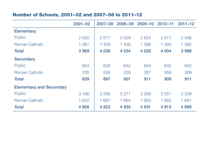# Number of Schools, 2001–02 and 2007–08 to 2011–12

|                                 | $2001 - 02$ | $2007 - 08$ | $2008 - 09$ | $2009 - 10$ | $2010 - 11$ | $2011 - 12$ |
|---------------------------------|-------------|-------------|-------------|-------------|-------------|-------------|
| <b>Elementary</b>               |             |             |             |             |             |             |
| <b>Public</b>                   | 2 5 8 2     | 2617        | 2629        | 2624        | 2611        | 2 5 9 6     |
| Roman Catholic                  | 1 3 8 7     | 1 409       | 1 405       | 1 3 9 6     | 1 393       | 1 3 9 2     |
| <b>Total</b>                    | 3969        | 4 0 26      | 4 0 34      | 4 0 20      | 4 0 0 4     | 3988        |
| <b>Secondary</b>                |             |             |             |             |             |             |
| <b>Public</b>                   | 604         | 639         | 642         | 644         | 640         | 642         |
| <b>Roman Catholic</b>           | 235         | 258         | 259         | 267         | 269         | 269         |
| <b>Total</b>                    | 839         | 897         | 901         | 911         | 909         | 911         |
| <b>Elementary and Secondary</b> |             |             |             |             |             |             |
| <b>Public</b>                   | 3 1 8 6     | 3 2 5 6     | 3 2 7 1     | 3 2 6 8     | 3 2 5 1     | 3 2 3 8     |
| <b>Roman Catholic</b>           | 1 622       | 1 667       | 1 6 6 4     | 1 663       | 1 6 6 2     | 1 661       |
| <b>Total</b>                    | 4 8 0 8     | 4 9 23      | 4 9 3 5     | 4 9 31      | 4913        | 4 8 9 9     |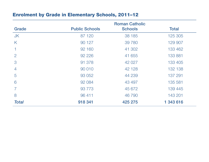## Enrolment by Grade in Elementary Schools, 2011–12

|                |                       | <b>Roman Catholic</b> |              |
|----------------|-----------------------|-----------------------|--------------|
| Grade          | <b>Public Schools</b> | <b>Schools</b>        | <b>Total</b> |
| <b>JK</b>      | 87 120                | 38 185                | 125 305      |
| K              | 90 127                | 39 7 80               | 129 907      |
|                | 92 160                | 41 302                | 133 462      |
| 2              | 92 2 2 6              | 41 655                | 133 881      |
| 3              | 91 378                | 42 027                | 133 405      |
| $\overline{4}$ | 90 010                | 42 128                | 132 138      |
| 5              | 93 052                | 44 239                | 137 291      |
| 6              | 92 084                | 43 497                | 135 581      |
|                | 93 7 7 3              | 45 672                | 139 445      |
| 8              | 96 411                | 46 790                | 143 201      |
| <b>Total</b>   | 918 341               | 425 275               | 1 343 616    |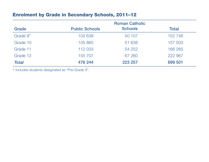## Enrolment by Grade in Secondary Schools, 2011–12

|              |                       | <b>Roman Catholic</b> |              |
|--------------|-----------------------|-----------------------|--------------|
| Grade        | <b>Public Schools</b> | <b>Schools</b>        | <b>Total</b> |
| Grade 9*     | 102 639               | 50 107                | 152 746      |
| Grade 10     | 105 865               | 51 638                | 157 503      |
| Grade 11     | 112 033               | 54 252                | 166 285      |
| Grade 12     | 155 707               | 67 260                | 222 967      |
| <b>Total</b> | 476 244               | 223 257               | 699 501      |

\* Includes students designated as "Pre-Grade 9".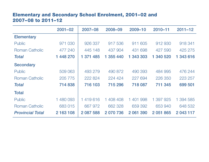## Elementary and Secondary School Enrolment, 2001–02 and 2007–08 to 2011–12

|                         | $2001 - 02$ | $2007 - 08$ | 2008-09   | 2009-10   | $2010 - 11$ | $2011 - 12$ |
|-------------------------|-------------|-------------|-----------|-----------|-------------|-------------|
| <b>Elementary</b>       |             |             |           |           |             |             |
| <b>Public</b>           | 971 030     | 926 337     | 917 536   | 911 605   | 912 930     | 918 341     |
| Roman Catholic          | 477 240     | 445 148     | 437 904   | 431 698   | 427 590     | 425 275     |
| <b>Total</b>            | 1 448 270   | 1 371 485   | 1 355 440 | 343 303   | 1 340 520   | 1 343 616   |
| <b>Secondary</b>        |             |             |           |           |             |             |
| <b>Public</b>           | 509 063     | 493 279     | 490 872   | 490 393   | 484 995     | 476 244     |
| <b>Roman Catholic</b>   | 205 775     | 222 824     | 224 424   | 227 694   | 226 350     | 223 257     |
| <b>Total</b>            | 714 838     | 716 103     | 715 296   | 718 087   | 711 345     | 699 501     |
| <b>Total</b>            |             |             |           |           |             |             |
| <b>Public</b>           | 1 480 093   | 1419616     | 1 408 408 | 401 998   | 1 397 925   | 1 394 585   |
| <b>Roman Catholic</b>   | 683 015     | 667 972     | 662 328   | 659 392   | 653 940     | 648 532     |
| <b>Provincial Total</b> | 2 163 108   | 2 087 588   | 2 070 736 | 2 061 390 | 2 051 865   | 2 043 117   |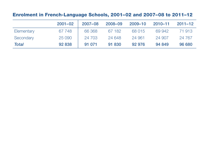# Enrolment in French-Language Schools, 2001–02 and 2007–08 to 2011–12

|            | $2001 - 02$ | $2007 - 08$ | 2008-09 | 2009-10 | $2010 - 11$ | $2011 - 12$ |
|------------|-------------|-------------|---------|---------|-------------|-------------|
| Elementary | 67 748      | 66 368      | 67 182  | 68 015  | 69 942      | 71 913      |
| Secondary  | 25 090      | 24 703      | 24 648  | 24 961  | 24 907      | 24 7 6 7    |
| Total      | 92 838      | 91 071      | 91 830  | 92 976  | 94 849      | 96 680      |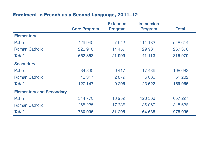# Enrolment in French as a Second Language, 2011–12

|                                 |                     | <b>Extended</b> | <b>Immersion</b> |              |
|---------------------------------|---------------------|-----------------|------------------|--------------|
|                                 | <b>Core Program</b> | Program         | Program          | <b>Total</b> |
| <b>Elementary</b>               |                     |                 |                  |              |
| <b>Public</b>                   | 429 940             | 7 542           | 111 132          | 548 614      |
| <b>Roman Catholic</b>           | 222 918             | 14 457          | 29 981           | 267 356      |
| <b>Total</b>                    | 652 858             | 21 999          | 141 113          | 815 970      |
| <b>Secondary</b>                |                     |                 |                  |              |
| <b>Public</b>                   | 84 830              | 6417            | 17436            | 108 683      |
| <b>Roman Catholic</b>           | 42 317              | 2879            | 6 0 8 6          | 51 282       |
| <b>Total</b>                    | 127 147             | 9 2 9 6         | 23 5 22          | 159 965      |
| <b>Elementary and Secondary</b> |                     |                 |                  |              |
| <b>Public</b>                   | 514770              | 13 959          | 128 568          | 657 297      |
| <b>Roman Catholic</b>           | 265 235             | 17 336          | 36 067           | 318 638      |
| <b>Total</b>                    | 780 005             | 31 295          | 164 635          | 975 935      |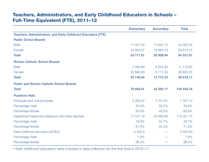### Teachers, Administrators, and Early Childhood Educators in Schools – Full-Time Equivalent (FTE), 2011–12

|                                                               | <b>Elementary</b> | <b>Secondary</b> | <b>Total</b> |
|---------------------------------------------------------------|-------------------|------------------|--------------|
| Teachers, Administrators, and Early Childhood Educators (FTE) |                   |                  |              |
| <b>Public School Boards</b>                                   |                   |                  |              |
| Male                                                          | 11 057.30         | 13 845.15        | 24 902.45    |
| Female                                                        | 42 654.37         | 16 964.79        | 59 619.16    |
| <b>Total</b>                                                  | 53 711.67         | 30 809.94        | 84 521.61    |
| <b>Roman Catholic School Boards</b>                           |                   |                  |              |
| Male                                                          | 4 4 6 0.6 9       | 6 6 5 4 . 9 3    | 11 115.62    |
| Female                                                        | 20 686.25         | 8 117.30         | 28 803.55    |
| <b>Total</b>                                                  | 25 146.94         | 14 772.23        | 39 919.17    |
| <b>Public and Roman Catholic School Boards</b>                |                   |                  |              |
| <b>Total</b>                                                  | 78 858.61         | 45 582.17        | 124 440.78   |
| <b>Positions Held</b>                                         |                   |                  |              |
| Principals and vice-principals                                | 5 305.52          | 2 101.61         | 7 407.13     |
| Percentage male                                               | 35.0%             | 50.5%            | 39.4%        |
| Percentage female                                             | 65.0%             | 49.5%            | 60.6%        |
| Department heads and classroom and other teachers             | 71 547.19         | 43 480.56        | 115 027.75   |
| Percentage male                                               | 19.0%             | 44.7%            | 28.7%        |
| Percentage female                                             | 81.0%             | 55.3%            | 71.3%        |
| Early childhood educators (ECEs)*                             | 2 0 0 5.9         |                  | 2 005.90     |
| Percentage male                                               | 1.8%              |                  | 1.8%         |
| Percentage female                                             | 98.2%             |                  | 98.2%        |

\* Early childhood educators were included in data collection for the first time in 2010–11.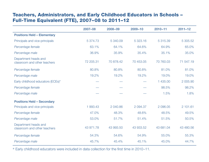### Teachers, Administrators, and Early Childhood Educators in Schools – Full-Time Equivalent (FTE), 2007–08 to 2011–12

|                                                      | $2007 - 08$ | $2008 - 09$ | $2009 - 10$ | $2010 - 11$ | $2011 - 12$ |
|------------------------------------------------------|-------------|-------------|-------------|-------------|-------------|
| <b>Positions Held - Elementary</b>                   |             |             |             |             |             |
| Principals and vice-principals                       | 5 374.73    | 5 340.09    | 5 323.16    | 5 315.39    | 5 305.52    |
| Percentage female                                    | 63.1%       | 64.1%       | 64.6%       | 64.9%       | 65.0%       |
| Percentage male                                      | 36.9%       | 35.9%       | 35.4%       | 35.1%       | 35.0%       |
| Department heads and<br>classroom and other teachers | 72 205.31   | 70 878.42   | 70 453.05   | 70 760.03   | 71 547.19   |
| Percentage female                                    | 80.8%       | 80.8%       | 80.8%       | 81.0%       | 81.0%       |
| Percentage male                                      | 19.2%       | 19.2%       | 19.2%       | 19.0%       | 19.0%       |
| Early childhood educators (ECEs)*                    |             |             |             | 435.00<br>1 | 2 005.90    |
| Percentage female                                    |             |             |             | 98.5%       | 98.2%       |
| Percentage male                                      |             |             |             | 1.5%        | 1.8%        |
| <b>Positions Held - Secondary</b>                    |             |             |             |             |             |
| Principals and vice-principals                       | 1 993.43    | 2 040.86    | 2 094.37    | 2 096.05    | 2 101.61    |
| Percentage female                                    | 47.0%       | 48.3%       | 48.6%       | 48.5%       | 49.5%       |
| Percentage male                                      | 53.0%       | 51.7%       | 51.4%       | 51.5%       | 50.5%       |
| Department heads and<br>classroom and other teachers | 43 971.78   | 43 993.50   | 43 933.52   | 43 681.04   | 43 480.56   |
| Percentage female                                    | 54.3%       | 54.6%       | 54.9%       | 55.0%       | 55.3%       |
| Percentage male                                      | 45.7%       | 45.4%       | 45.1%       | 45.0%       | 44.7%       |

\* Early childhood educators were included in data collection for the first time in 2010–11.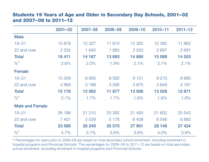#### Students 19 Years of Age and Older in Secondary Day Schools, 2001–02 and 2007–08 to 2011–12

|                        | $2001 - 02$ | 2007-08 | 2008-09 | $2009 - 10$ | $2010 - 11$ | $2011 - 12$ |
|------------------------|-------------|---------|---------|-------------|-------------|-------------|
| <b>Male</b>            |             |         |         |             |             |             |
| $19 - 21$              | 15879       | 12 3 27 | 11810   | 12 3 62     | 12 3 9 2    | 11 862      |
| 22 and over            | 2 5 3 2     | 1840    | 1883    | 2 5 3 3     | 2 6 9 7     | 2691        |
| <b>Total</b>           | 18 4 11     | 14 167  | 13693   | 14895       | 15 089      | 14 553      |
| $\%$ *                 | 2.6%        | 2.0%    | 1.9%    | 2.1%        | 2.1%        | 2.1%        |
| <b>Female</b>          |             |         |         |             |             |             |
| $19 - 21$              | 10 309      | 8883    | 8 5 8 2 | 9 1 3 1     | 9 2 1 0     | 8 6 8 0     |
| 22 and over            | 4 8 6 9     | 3 1 9 9 | 3 2 9 5 | 3875        | 3849        | 4 1 9 1     |
| <b>Total</b>           | 15 178      | 12 082  | 11 877  | 13 006      | 13 059      | 12871       |
| $\%$ *                 | 2.1%        | 1.7%    | 1.7%    | 1.8%        | 1.8%        | 1.8%        |
| <b>Male and Female</b> |             |         |         |             |             |             |
| $19 - 21$              | 26 188      | 21 210  | 20 392  | 21 493      | 21 602      | 20 542      |
| 22 and over            | 7 4 0 1     | 5 0 3 9 | 5 1 7 8 | 6408        | 6546        | 6882        |
| <b>Total</b>           | 33 589      | 26 249  | 25 570  | 27 901      | 28 148      | 27 4 24     |
| $\frac{9}{6}$ *        | 4.7%        | 3.7%    | 3.6%    | 3.9%        | 4.0%        | 3.9%        |

\* Percentages for years prior to 2008–09 are based on total secondary school enrolment, including enrolment in hospital programs and Provincial Schools. The percentages for 2008–09 to 2011–12 are based on total secondary school enrolment, *excluding* enrolment in hospital programs and Provincial Schools.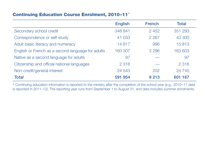#### Continuing Education Course Enrolment, 2010–11\*

|                                                   | <b>English</b> | <b>French</b> | <b>Total</b> |
|---------------------------------------------------|----------------|---------------|--------------|
| Secondary school credit                           | 348 841        | 2 4 5 2       | 351 293      |
| Correspondence or self-study                      | 41 033         | 2 2 6 7       | 43 300       |
| Adult basic literacy and numeracy                 | 14 8 17        | 996           | 15813        |
| English or French as a second language for adults | 160 307        | 3 2 9 6       | 163 603      |
| Native as a second language for adults            | 97             |               | 97           |
| Citizenship and official national languages       | 2 3 1 6        |               | 2 3 1 6      |
| Non-credit/general interest                       | 24 5 43        | 202           | 24 745       |
| <b>Total</b>                                      | 591 954        | 9 2 1 3       | 601 167      |

\* Continuing education information is reported to the ministry after the completion of the school year (e.g., 2010–11 data is reported in 2011–12). The reporting year runs from September 1 to August 31, and data includes summer enrolments.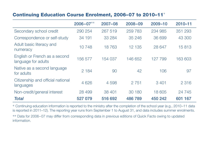## Continuing Education Course Enrolment, 2006–07 to 2010–11\*

|                                                      | $2006 - 07***$ | $2007 - 08$ | $2008 - 09$ | $2009 - 10$ | $2010 - 11$ |
|------------------------------------------------------|----------------|-------------|-------------|-------------|-------------|
| Secondary school credit                              | 290 254        | 267 519     | 259 783     | 234 985     | 351 293     |
| Correspondence or self-study                         | 34 191         | 33 2 84     | 35 246      | 36 699      | 43 300      |
| Adult basic literacy and<br>numeracy                 | 10748          | 18763       | 12 135      | 28 647      | 15813       |
| English or French as a second<br>language for adults | 156 577        | 154 037     | 146 652     | 127 799     | 163 603     |
| Native as a second language<br>for adults            | 2 1 8 4        | 90          | 42          | 106         | 97          |
| Citizenship and official national<br>languages       | 4 6 2 6        | 4 5 9 8     | 2 7 5 1     | 3 4 0 1     | 2 3 1 6     |
| Non-credit/general interest                          | 28 4 9 9       | 38 401      | 30 180      | 18 605      | 24 745      |
| <b>Total</b>                                         | 527 079        | 516 692     | 486789      | 450 242     | 601 167     |

\* Continuing education information is reported to the ministry after the completion of the school year (e.g., 2010–11 data is reported in 2011–12). The reporting year runs from September 1 to August 31, and data includes summer enrolments.

\*\* Data for 2006–07 may differ from corresponding data in previous editions of Quick Facts owing to updated information.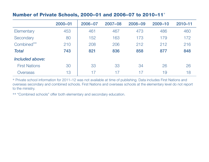#### Number of Private Schools, 2000–01 and 2006–07 to 2010–11\*

|                      | $2000 - 01$ | $2006 - 07$ | $2007 - 08$ | $2008 - 09$ | $2009 - 10$ | $2010 - 11$ |
|----------------------|-------------|-------------|-------------|-------------|-------------|-------------|
| Elementary           | 453         | 461         | 467         | 473         | 486         | 460         |
| Secondary            | 80          | 152         | 163         | 173         | 179         | 172         |
| Combined**           | 210         | 208         | 206         | 212         | 212         | 216         |
| <b>Total</b>         | 743         | 821         | 836         | 858         | 877         | 848         |
| Included above:      |             |             |             |             |             |             |
| <b>First Nations</b> | 30          | 33          | 33          | 34          | 26          | 26          |
| Overseas             | 13          | 17          | 17          | 17          | 19          | 18          |

\* Private school information for 2011–12 was not available at time of publishing. Data includes First Nations and overseas secondary and combined schools. First Nations and overseas schools at the elementary level do not report to the ministry.

\*\* "Combined schools" offer both elementary and secondary education.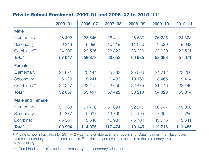#### Private School Enrolment, 2000–01 and 2006–07 to 2010–11\*

|                        | $2000 - 01$ | $2006 - 07$ | $2007 - 08$ | 2008-09  | $2009 - 10$ | $2010 - 11$ |
|------------------------|-------------|-------------|-------------|----------|-------------|-------------|
| <b>Male</b>            |             |             |             |          |             |             |
| Elementary             | 26 492      | 26 646      | 26 411      | 26 680   | 26 235      | 24 8 28     |
| Secondary              | 6 2 4 8     | 8 6 9 6     | 10 319      | 11 0 26  | 9529        | 9 3 4 2     |
| Combined**             | 24 307      | 23 536      | 23 3 22     | 23 2 29  | 22 6 29     | 23 501      |
| <b>Total</b>           | 57 047      | 58 878      | 60 052      | 60 935   | 58 393      | 57 671      |
| <b>Female</b>          |             |             |             |          |             |             |
| Elementary             | 24 671      | 25 144      | 25 2 83     | 25 5 6 6 | 24 7 12     | 23 260      |
| Secondary              | 6 1 2 9     | 8 2 4 1     | 9 4 8 0     | 10 169   | 8 4 6 5     | 8414        |
| Combined**             | 22 057      | 22 112      | 22 659      | 22 4 7 5 | 21 146      | 22 140      |
| <b>Total</b>           | 52 857      | 55 497      | 57 422      | 58 210   | 54 323      | 53814       |
| <b>Male and Female</b> |             |             |             |          |             |             |
| Elementary             | 51 163      | 51 790      | 51 694      | 52 246   | 50 947      | 48 088      |
| Secondary              | 12 377      | 16 937      | 19799       | 21 195   | 17 994      | 17756       |
| Combined**             | 46 364      | 45 648      | 45 981      | 45 704   | 43775       | 45 641      |
| <b>Total</b>           | 109 904     | 114 375     | 117474      | 119 145  | 112716      | 111 485     |

\* Private school information for 2011–12 was not available at time of publishing. Data includes First Nations and overseas secondary and combined schools. First Nations and overseas schools at the elementary level do not report to the ministry.

\*\* "Combined schools" offer both elementary and secondary education.